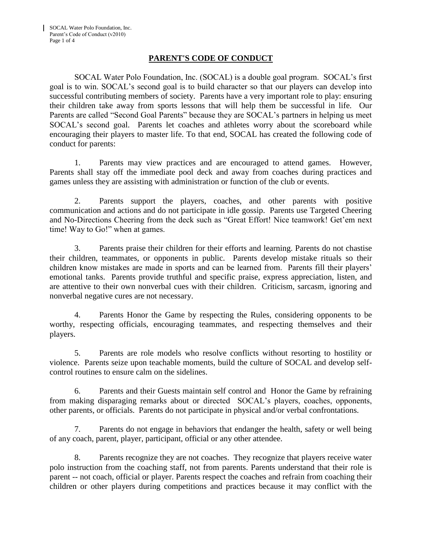## **PARENT'S CODE OF CONDUCT**

SOCAL Water Polo Foundation, Inc. (SOCAL) is a double goal program. SOCAL's first goal is to win. SOCAL's second goal is to build character so that our players can develop into successful contributing members of society. Parents have a very important role to play: ensuring their children take away from sports lessons that will help them be successful in life. Our Parents are called "Second Goal Parents" because they are SOCAL's partners in helping us meet SOCAL's second goal. Parents let coaches and athletes worry about the scoreboard while encouraging their players to master life. To that end, SOCAL has created the following code of conduct for parents:

1. Parents may view practices and are encouraged to attend games. However, Parents shall stay off the immediate pool deck and away from coaches during practices and games unless they are assisting with administration or function of the club or events.

2. Parents support the players, coaches, and other parents with positive communication and actions and do not participate in idle gossip. Parents use Targeted Cheering and No-Directions Cheering from the deck such as "Great Effort! Nice teamwork! Get'em next time! Way to Go!" when at games.

3. Parents praise their children for their efforts and learning. Parents do not chastise their children, teammates, or opponents in public. Parents develop mistake rituals so their children know mistakes are made in sports and can be learned from. Parents fill their players' emotional tanks. Parents provide truthful and specific praise, express appreciation, listen, and are attentive to their own nonverbal cues with their children. Criticism, sarcasm, ignoring and nonverbal negative cures are not necessary.

4. Parents Honor the Game by respecting the Rules, considering opponents to be worthy, respecting officials, encouraging teammates, and respecting themselves and their players.

5. Parents are role models who resolve conflicts without resorting to hostility or violence. Parents seize upon teachable moments, build the culture of SOCAL and develop selfcontrol routines to ensure calm on the sidelines.

6. Parents and their Guests maintain self control and Honor the Game by refraining from making disparaging remarks about or directed SOCAL's players, coaches, opponents, other parents, or officials. Parents do not participate in physical and/or verbal confrontations.

7. Parents do not engage in behaviors that endanger the health, safety or well being of any coach, parent, player, participant, official or any other attendee.

8. Parents recognize they are not coaches. They recognize that players receive water polo instruction from the coaching staff, not from parents. Parents understand that their role is parent -- not coach, official or player. Parents respect the coaches and refrain from coaching their children or other players during competitions and practices because it may conflict with the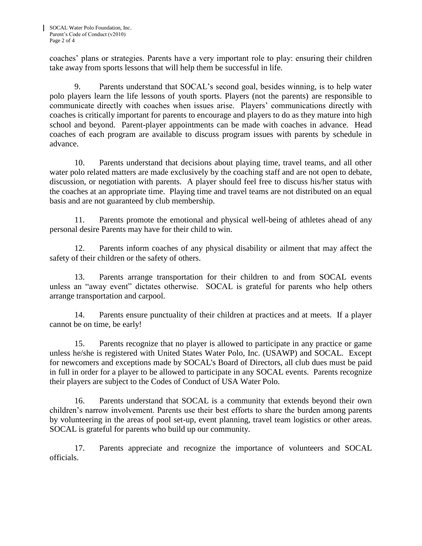coaches' plans or strategies. Parents have a very important role to play: ensuring their children take away from sports lessons that will help them be successful in life.

9. Parents understand that SOCAL's second goal, besides winning, is to help water polo players learn the life lessons of youth sports. Players (not the parents) are responsible to communicate directly with coaches when issues arise. Players' communications directly with coaches is critically important for parents to encourage and players to do as they mature into high school and beyond. Parent-player appointments can be made with coaches in advance. Head coaches of each program are available to discuss program issues with parents by schedule in advance.

10. Parents understand that decisions about playing time, travel teams, and all other water polo related matters are made exclusively by the coaching staff and are not open to debate, discussion, or negotiation with parents. A player should feel free to discuss his/her status with the coaches at an appropriate time. Playing time and travel teams are not distributed on an equal basis and are not guaranteed by club membership.

11. Parents promote the emotional and physical well-being of athletes ahead of any personal desire Parents may have for their child to win.

12. Parents inform coaches of any physical disability or ailment that may affect the safety of their children or the safety of others.

13. Parents arrange transportation for their children to and from SOCAL events unless an "away event" dictates otherwise. SOCAL is grateful for parents who help others arrange transportation and carpool.

14. Parents ensure punctuality of their children at practices and at meets. If a player cannot be on time, be early!

15. Parents recognize that no player is allowed to participate in any practice or game unless he/she is registered with United States Water Polo, Inc. (USAWP) and SOCAL. Except for newcomers and exceptions made by SOCAL's Board of Directors, all club dues must be paid in full in order for a player to be allowed to participate in any SOCAL events. Parents recognize their players are subject to the Codes of Conduct of USA Water Polo.

16. Parents understand that SOCAL is a community that extends beyond their own children's narrow involvement. Parents use their best efforts to share the burden among parents by volunteering in the areas of pool set-up, event planning, travel team logistics or other areas. SOCAL is grateful for parents who build up our community.

17. Parents appreciate and recognize the importance of volunteers and SOCAL officials.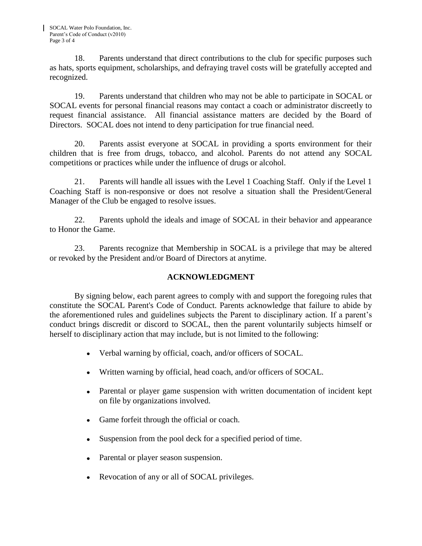18. Parents understand that direct contributions to the club for specific purposes such as hats, sports equipment, scholarships, and defraying travel costs will be gratefully accepted and recognized.

19. Parents understand that children who may not be able to participate in SOCAL or SOCAL events for personal financial reasons may contact a coach or administrator discreetly to request financial assistance. All financial assistance matters are decided by the Board of Directors. SOCAL does not intend to deny participation for true financial need.

20. Parents assist everyone at SOCAL in providing a sports environment for their children that is free from drugs, tobacco, and alcohol. Parents do not attend any SOCAL competitions or practices while under the influence of drugs or alcohol.

21. Parents will handle all issues with the Level 1 Coaching Staff. Only if the Level 1 Coaching Staff is non-responsive or does not resolve a situation shall the President/General Manager of the Club be engaged to resolve issues.

22. Parents uphold the ideals and image of SOCAL in their behavior and appearance to Honor the Game.

23. Parents recognize that Membership in SOCAL is a privilege that may be altered or revoked by the President and/or Board of Directors at anytime.

## **ACKNOWLEDGMENT**

By signing below, each parent agrees to comply with and support the foregoing rules that constitute the SOCAL Parent's Code of Conduct. Parents acknowledge that failure to abide by the aforementioned rules and guidelines subjects the Parent to disciplinary action. If a parent's conduct brings discredit or discord to SOCAL, then the parent voluntarily subjects himself or herself to disciplinary action that may include, but is not limited to the following:

- Verbal warning by official, coach, and/or officers of SOCAL.
- Written warning by official, head coach, and/or officers of SOCAL.
- Parental or player game suspension with written documentation of incident kept  $\bullet$ on file by organizations involved.
- Game forfeit through the official or coach.  $\bullet$
- $\bullet$ Suspension from the pool deck for a specified period of time.
- Parental or player season suspension.
- Revocation of any or all of SOCAL privileges.